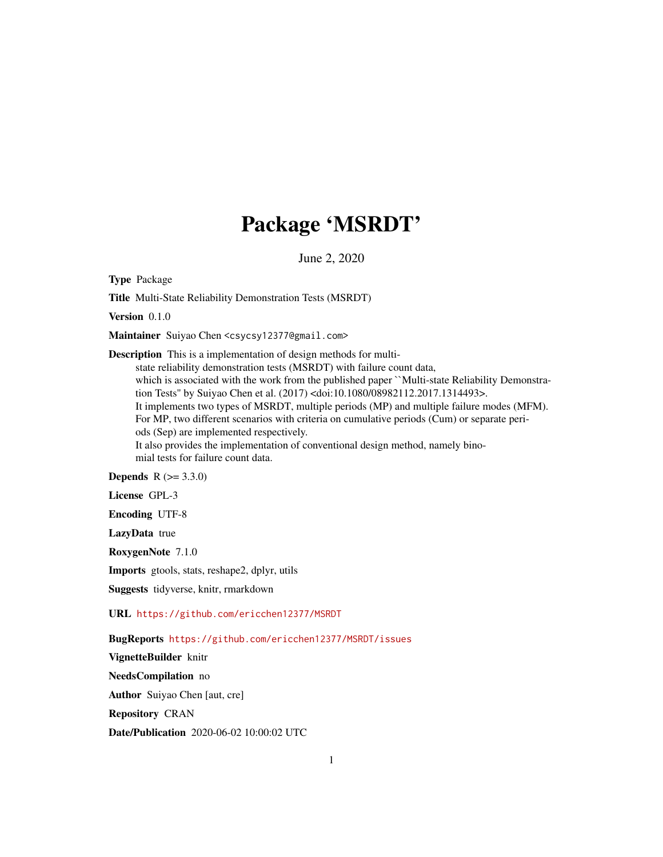# Package 'MSRDT'

June 2, 2020

Type Package

Title Multi-State Reliability Demonstration Tests (MSRDT)

Version 0.1.0

Maintainer Suiyao Chen <csycsy12377@gmail.com>

Description This is a implementation of design methods for multistate reliability demonstration tests (MSRDT) with failure count data, which is associated with the work from the published paper ``Multi-state Reliability Demonstration Tests'' by Suiyao Chen et al. (2017) <doi:10.1080/08982112.2017.1314493>. It implements two types of MSRDT, multiple periods (MP) and multiple failure modes (MFM). For MP, two different scenarios with criteria on cumulative periods (Cum) or separate periods (Sep) are implemented respectively. It also provides the implementation of conventional design method, namely binomial tests for failure count data.

**Depends** R  $(>= 3.3.0)$ 

License GPL-3

Encoding UTF-8

LazyData true

RoxygenNote 7.1.0

Imports gtools, stats, reshape2, dplyr, utils

Suggests tidyverse, knitr, rmarkdown

URL <https://github.com/ericchen12377/MSRDT>

BugReports <https://github.com/ericchen12377/MSRDT/issues>

VignetteBuilder knitr

NeedsCompilation no

Author Suiyao Chen [aut, cre]

Repository CRAN

Date/Publication 2020-06-02 10:00:02 UTC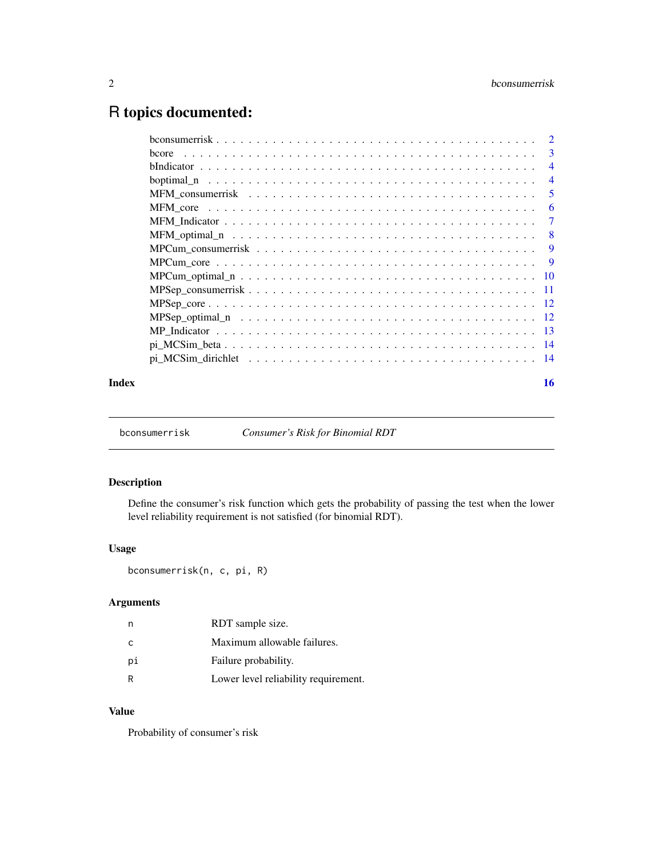## <span id="page-1-0"></span>R topics documented:

|       | bcore |                |
|-------|-------|----------------|
|       |       | $\overline{4}$ |
|       |       | $\overline{4}$ |
|       |       | -5             |
|       |       | -6             |
|       |       |                |
|       |       |                |
|       |       |                |
|       |       |                |
|       |       |                |
|       |       |                |
|       |       |                |
|       |       |                |
|       |       |                |
|       |       |                |
|       |       |                |
| Index |       | 16             |

<span id="page-1-1"></span>bconsumerrisk *Consumer's Risk for Binomial RDT*

#### Description

Define the consumer's risk function which gets the probability of passing the test when the lower level reliability requirement is not satisfied (for binomial RDT).

#### Usage

bconsumerrisk(n, c, pi, R)

#### Arguments

| n  | RDT sample size.                     |
|----|--------------------------------------|
| C. | Maximum allowable failures.          |
| рi | Failure probability.                 |
| R  | Lower level reliability requirement. |

#### Value

Probability of consumer's risk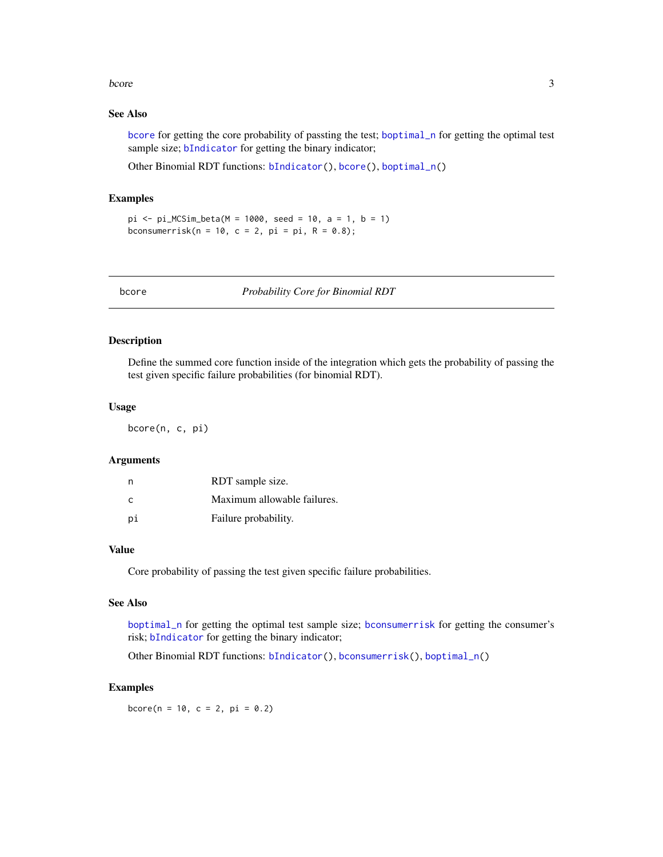#### <span id="page-2-0"></span>bcore 3

#### See Also

[bcore](#page-2-1) for getting the core probability of passting the test; [boptimal\\_n](#page-3-1) for getting the optimal test sample size; [bIndicator](#page-3-2) for getting the binary indicator;

Other Binomial RDT functions: [bIndicator\(](#page-3-2)), [bcore\(](#page-2-1)), [boptimal\\_n\(](#page-3-1))

#### Examples

```
pi \leq -pi_MCSim_beta(M = 1000, seed = 10, a = 1, b = 1)bconsumerrisk(n = 10, c = 2, pi = pi, R = 0.8);
```
<span id="page-2-1"></span>

bcore *Probability Core for Binomial RDT*

#### Description

Define the summed core function inside of the integration which gets the probability of passing the test given specific failure probabilities (for binomial RDT).

#### Usage

bcore(n, c, pi)

#### Arguments

| n  | RDT sample size.            |
|----|-----------------------------|
| C  | Maximum allowable failures. |
| рi | Failure probability.        |

#### Value

Core probability of passing the test given specific failure probabilities.

#### See Also

[boptimal\\_n](#page-3-1) for getting the optimal test sample size; [bconsumerrisk](#page-1-1) for getting the consumer's risk; [bIndicator](#page-3-2) for getting the binary indicator;

Other Binomial RDT functions: [bIndicator\(](#page-3-2)), [bconsumerrisk\(](#page-1-1)), [boptimal\\_n\(](#page-3-1))

#### Examples

bcore( $n = 10$ ,  $c = 2$ ,  $pi = 0.2$ )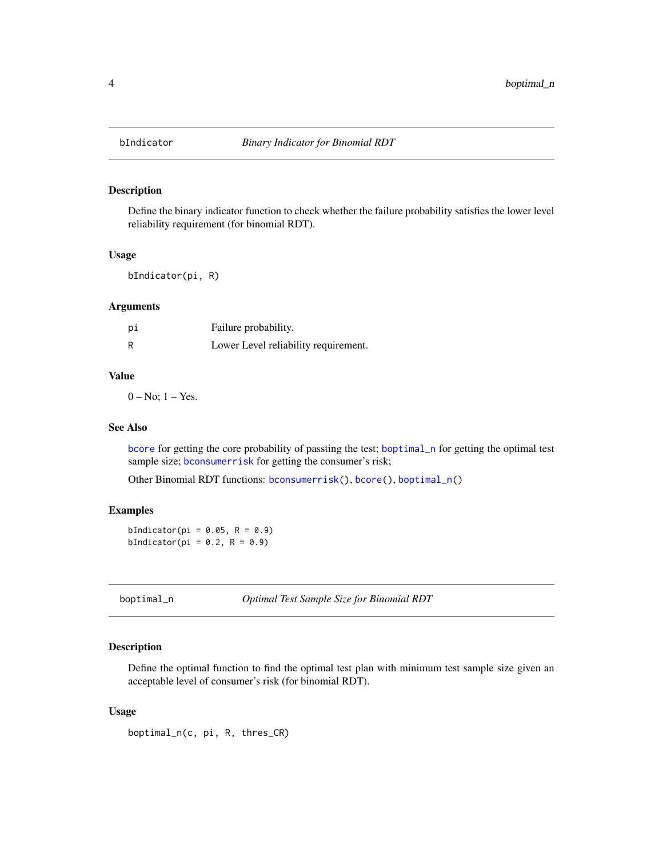<span id="page-3-2"></span><span id="page-3-0"></span>

Define the binary indicator function to check whether the failure probability satisfies the lower level reliability requirement (for binomial RDT).

#### Usage

bIndicator(pi, R)

#### Arguments

| рi | Failure probability.                 |
|----|--------------------------------------|
| R  | Lower Level reliability requirement. |

#### Value

 $0 - No$ ;  $1 - Yes$ .

#### See Also

[bcore](#page-2-1) for getting the core probability of passting the test; [boptimal\\_n](#page-3-1) for getting the optimal test sample size; [bconsumerrisk](#page-1-1) for getting the consumer's risk;

Other Binomial RDT functions: [bconsumerrisk\(](#page-1-1)), [bcore\(](#page-2-1)), [boptimal\\_n\(](#page-3-1))

#### Examples

bIndicator(pi =  $0.05$ , R =  $0.9$ ) bIndicator(pi =  $0.2$ , R =  $0.9$ )

<span id="page-3-1"></span>

boptimal\_n *Optimal Test Sample Size for Binomial RDT*

#### Description

Define the optimal function to find the optimal test plan with minimum test sample size given an acceptable level of consumer's risk (for binomial RDT).

#### Usage

```
boptimal_n(c, pi, R, thres_CR)
```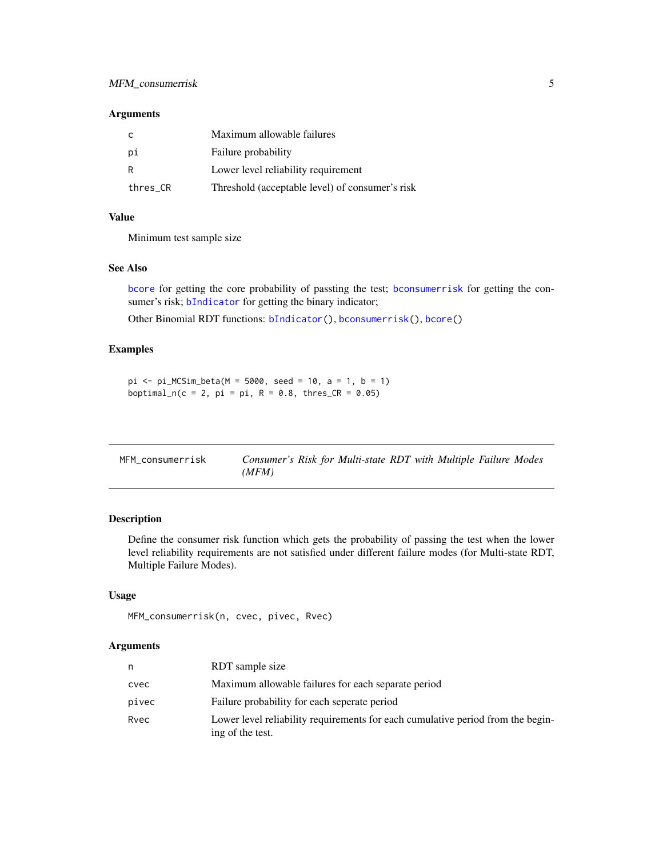#### <span id="page-4-0"></span>MFM\_consumerrisk 5

#### Arguments

| C        | Maximum allowable failures                      |
|----------|-------------------------------------------------|
| рi       | Failure probability                             |
| R        | Lower level reliability requirement             |
| thres_CR | Threshold (acceptable level) of consumer's risk |

#### Value

Minimum test sample size

#### See Also

[bcore](#page-2-1) for getting the core probability of passting the test; [bconsumerrisk](#page-1-1) for getting the consumer's risk; **[bIndicator](#page-3-2)** for getting the binary indicator;

Other Binomial RDT functions: [bIndicator\(](#page-3-2)), [bconsumerrisk\(](#page-1-1)), [bcore\(](#page-2-1))

#### Examples

 $pi \le - pi_MCSim\_beta(M = 5000, seed = 10, a = 1, b = 1)$  $b$ optimal\_n(c = 2, pi = pi, R = 0.8, thres\_CR = 0.05)

<span id="page-4-1"></span>

| MFM consumerrisk | Consumer's Risk for Multi-state RDT with Multiple Failure Modes |
|------------------|-----------------------------------------------------------------|
|                  | (MFM)                                                           |

#### Description

Define the consumer risk function which gets the probability of passing the test when the lower level reliability requirements are not satisfied under different failure modes (for Multi-state RDT, Multiple Failure Modes).

#### Usage

```
MFM_consumerrisk(n, cvec, pivec, Rvec)
```
#### Arguments

| n     | RDT sample size                                                                                     |
|-------|-----------------------------------------------------------------------------------------------------|
| cvec  | Maximum allowable failures for each separate period                                                 |
| pivec | Failure probability for each seperate period                                                        |
| Rvec  | Lower level reliability requirements for each cumulative period from the begin-<br>ing of the test. |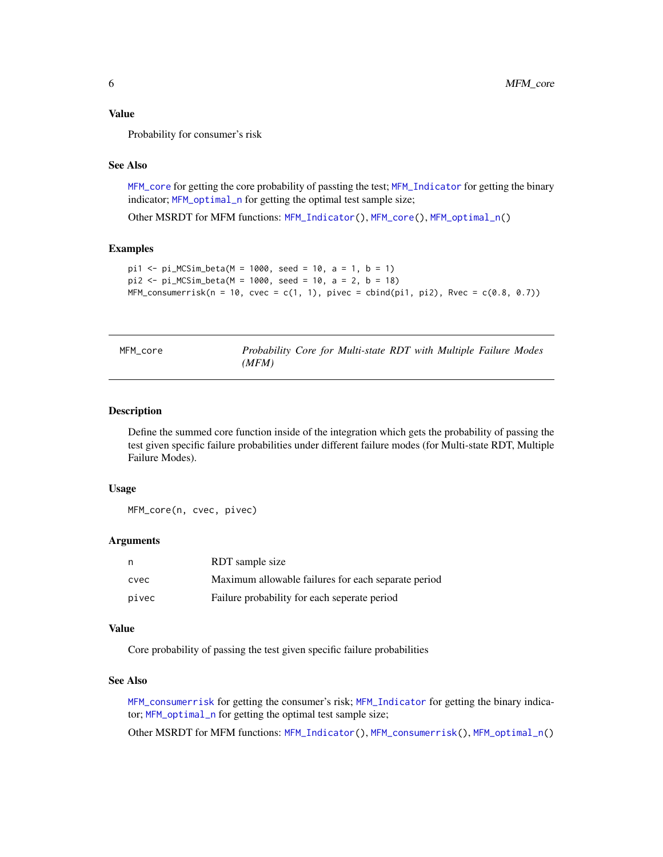#### <span id="page-5-0"></span>Value

Probability for consumer's risk

#### See Also

[MFM\\_core](#page-5-1) for getting the core probability of passting the test; [MFM\\_Indicator](#page-6-1) for getting the binary indicator; [MFM\\_optimal\\_n](#page-7-1) for getting the optimal test sample size;

Other MSRDT for MFM functions: [MFM\\_Indicator\(](#page-6-1)), [MFM\\_core\(](#page-5-1)), [MFM\\_optimal\\_n\(](#page-7-1))

#### Examples

```
pi1 <- pi_MCSim_beta(M = 1000, seed = 10, a = 1, b = 1)pi2 <- pi_MCSim_beta(M = 1000, seed = 10, a = 2, b = 18)
MFM\_consumerrisk(n = 10, cvec = c(1, 1), pivec = child(pi1, pi2), Rvec = c(0.8, 0.7))
```
<span id="page-5-1"></span>

| MFM core | Probability Core for Multi-state RDT with Multiple Failure Modes |  |  |  |  |
|----------|------------------------------------------------------------------|--|--|--|--|
|          | (MFM)                                                            |  |  |  |  |

#### Description

Define the summed core function inside of the integration which gets the probability of passing the test given specific failure probabilities under different failure modes (for Multi-state RDT, Multiple Failure Modes).

#### Usage

MFM\_core(n, cvec, pivec)

#### Arguments

| n     | RDT sample size                                     |
|-------|-----------------------------------------------------|
| cvec  | Maximum allowable failures for each separate period |
| pivec | Failure probability for each seperate period        |

#### Value

Core probability of passing the test given specific failure probabilities

#### See Also

[MFM\\_consumerrisk](#page-4-1) for getting the consumer's risk; [MFM\\_Indicator](#page-6-1) for getting the binary indicator; [MFM\\_optimal\\_n](#page-7-1) for getting the optimal test sample size;

Other MSRDT for MFM functions: [MFM\\_Indicator\(](#page-6-1)), [MFM\\_consumerrisk\(](#page-4-1)), [MFM\\_optimal\\_n\(](#page-7-1))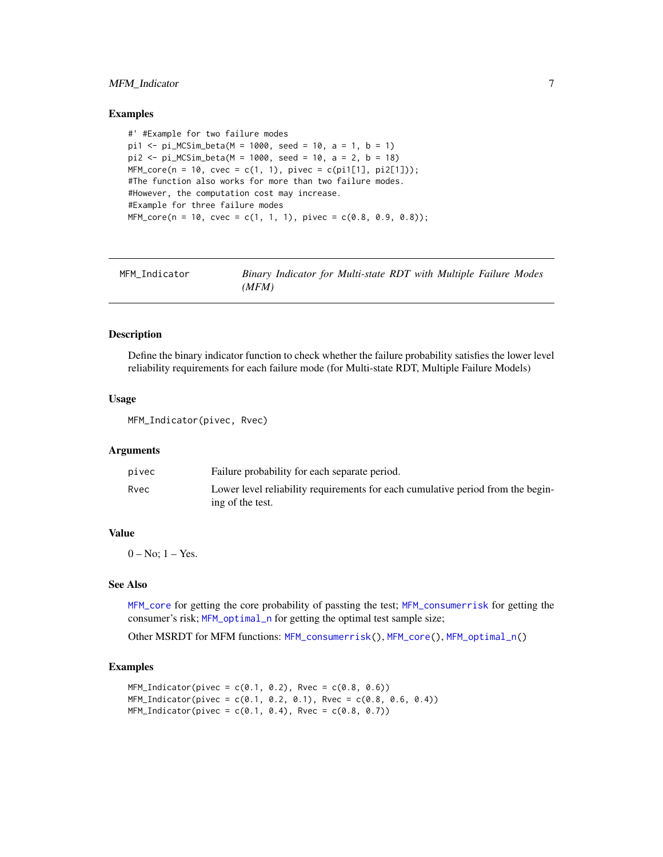#### <span id="page-6-0"></span>MFM\_Indicator 7

#### Examples

```
#' #Example for two failure modes
pi1 \leq -pi_MCSim_beta(M = 1000, seed = 10, a = 1, b = 1)pi2 \le -pi_MCSim_beta(M = 1000, seed = 10, a = 2, b = 18)MFM\_core(n = 10, cvec = c(1, 1), piece = c(pi1[1], pi2[1]));
#The function also works for more than two failure modes.
#However, the computation cost may increase.
#Example for three failure modes
MFM_{core}(n = 10, \text{cvec} = c(1, 1, 1), \text{piece} = c(0.8, 0.9, 0.8));
```
<span id="page-6-1"></span>

| MFM Indicator |       | Binary Indicator for Multi-state RDT with Multiple Failure Modes |  |  |  |
|---------------|-------|------------------------------------------------------------------|--|--|--|
|               | (MFM) |                                                                  |  |  |  |

#### Description

Define the binary indicator function to check whether the failure probability satisfies the lower level reliability requirements for each failure mode (for Multi-state RDT, Multiple Failure Models)

#### Usage

```
MFM_Indicator(pivec, Rvec)
```
#### Arguments

| pivec | Failure probability for each separate period.                                   |
|-------|---------------------------------------------------------------------------------|
| Rvec  | Lower level reliability requirements for each cumulative period from the begin- |
|       | ing of the test.                                                                |

#### Value

 $0 - No$ ;  $1 - Yes$ .

#### See Also

[MFM\\_core](#page-5-1) for getting the core probability of passting the test; [MFM\\_consumerrisk](#page-4-1) for getting the consumer's risk; [MFM\\_optimal\\_n](#page-7-1) for getting the optimal test sample size;

Other MSRDT for MFM functions: [MFM\\_consumerrisk\(](#page-4-1)), [MFM\\_core\(](#page-5-1)), [MFM\\_optimal\\_n\(](#page-7-1))

```
MFM_1ndicator(pivec = c(0.1, 0.2), Rvec = c(0.8, 0.6))MFM\_Indication(pivec = c(0.1, 0.2, 0.1), Rvec = c(0.8, 0.6, 0.4))MFM_1ndicator(pivec = c(0.1, 0.4), Rvec = c(0.8, 0.7))
```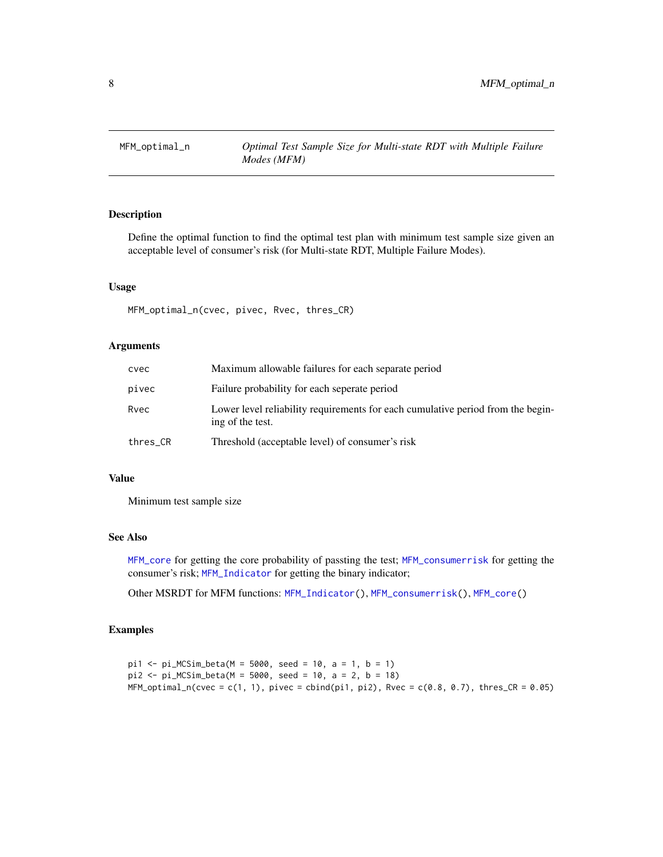<span id="page-7-1"></span><span id="page-7-0"></span>

Define the optimal function to find the optimal test plan with minimum test sample size given an acceptable level of consumer's risk (for Multi-state RDT, Multiple Failure Modes).

#### Usage

MFM\_optimal\_n(cvec, pivec, Rvec, thres\_CR)

#### Arguments

| cvec     | Maximum allowable failures for each separate period                                                 |
|----------|-----------------------------------------------------------------------------------------------------|
| pivec    | Failure probability for each seperate period                                                        |
| Rvec     | Lower level reliability requirements for each cumulative period from the begin-<br>ing of the test. |
| thres_CR | Threshold (acceptable level) of consumer's risk                                                     |

#### Value

Minimum test sample size

#### See Also

[MFM\\_core](#page-5-1) for getting the core probability of passting the test; [MFM\\_consumerrisk](#page-4-1) for getting the consumer's risk; [MFM\\_Indicator](#page-6-1) for getting the binary indicator;

Other MSRDT for MFM functions: [MFM\\_Indicator\(](#page-6-1)), [MFM\\_consumerrisk\(](#page-4-1)), [MFM\\_core\(](#page-5-1))

```
pi1 <- pi_MCSim_beta(M = 5000, seed = 10, a = 1, b = 1)
pi2 \leq pi_MCSim_beta(M = 5000, seed = 10, a = 2, b = 18)MFM\_optimal_n(cvec = c(1, 1), piece = child(pi1, pi2), Rvec = c(0.8, 0.7), thres_C(R = 0.05)
```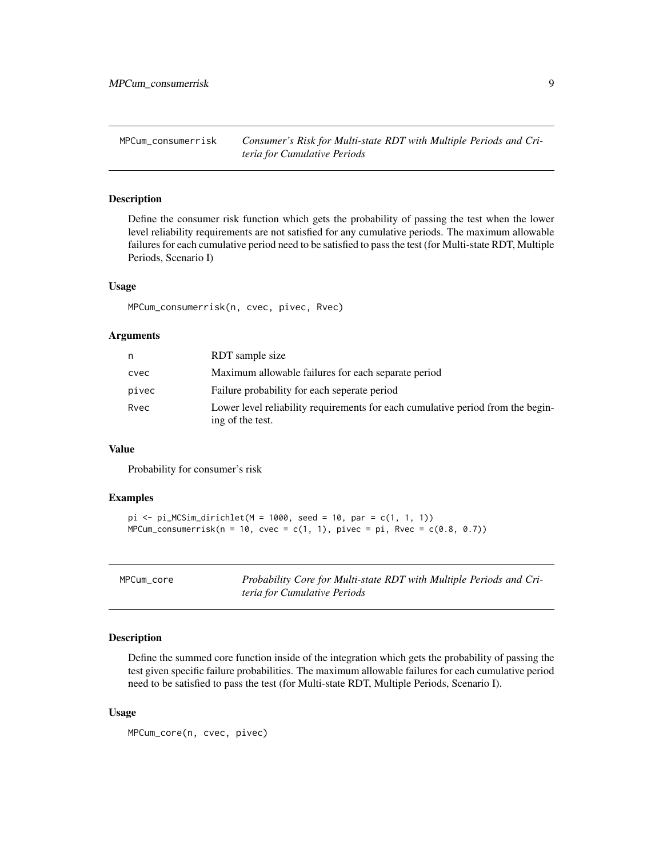<span id="page-8-0"></span>MPCum\_consumerrisk *Consumer's Risk for Multi-state RDT with Multiple Periods and Criteria for Cumulative Periods*

#### Description

Define the consumer risk function which gets the probability of passing the test when the lower level reliability requirements are not satisfied for any cumulative periods. The maximum allowable failures for each cumulative period need to be satisfied to pass the test (for Multi-state RDT, Multiple Periods, Scenario I)

#### Usage

MPCum\_consumerrisk(n, cvec, pivec, Rvec)

#### Arguments

| n     | RDT sample size                                                                                     |
|-------|-----------------------------------------------------------------------------------------------------|
| cvec  | Maximum allowable failures for each separate period                                                 |
| pivec | Failure probability for each seperate period                                                        |
| Rvec  | Lower level reliability requirements for each cumulative period from the begin-<br>ing of the test. |

#### Value

Probability for consumer's risk

#### Examples

```
pi \leq -pi_MCSim\_dirichlet(M = 1000, seed = 10, par = c(1, 1, 1))MPCum\_consumerrisk(n = 10, cvec = c(1, 1), pivec = pi, Rvec = c(0.8, 0.7))
```
MPCum\_core *Probability Core for Multi-state RDT with Multiple Periods and Criteria for Cumulative Periods*

#### Description

Define the summed core function inside of the integration which gets the probability of passing the test given specific failure probabilities. The maximum allowable failures for each cumulative period need to be satisfied to pass the test (for Multi-state RDT, Multiple Periods, Scenario I).

#### Usage

```
MPCum_core(n, cvec, pivec)
```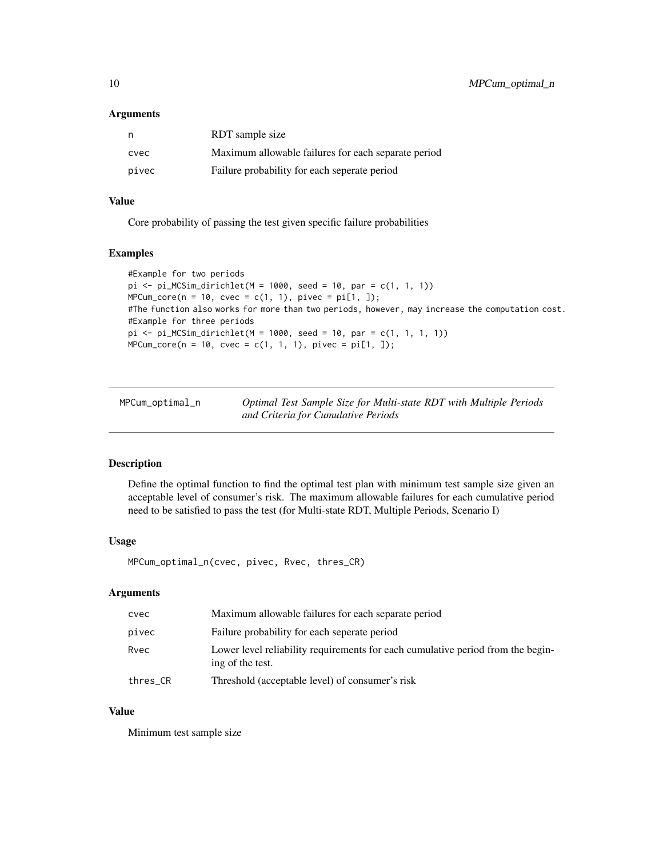#### <span id="page-9-0"></span>**Arguments**

| n     | RDT sample size                                     |
|-------|-----------------------------------------------------|
| cvec  | Maximum allowable failures for each separate period |
| pivec | Failure probability for each seperate period        |

#### Value

Core probability of passing the test given specific failure probabilities

#### Examples

```
#Example for two periods
pi <- pi_MCSim_dirichlet(M = 1000, seed = 10, par = c(1, 1, 1))
MPCum\_core(n = 10, cvec = c(1, 1), pivec = pi[1, 1);#The function also works for more than two periods, however, may increase the computation cost.
#Example for three periods
pi <- pi_MCSim_dirichlet(M = 1000, seed = 10, par = c(1, 1, 1, 1))
MPCum\_core(n = 10, cvec = c(1, 1, 1), piece = pi[1, 1);
```

| MPCum_optimal_n | Optimal Test Sample Size for Multi-state RDT with Multiple Periods |
|-----------------|--------------------------------------------------------------------|
|                 | and Criteria for Cumulative Periods                                |

#### Description

Define the optimal function to find the optimal test plan with minimum test sample size given an acceptable level of consumer's risk. The maximum allowable failures for each cumulative period need to be satisfied to pass the test (for Multi-state RDT, Multiple Periods, Scenario I)

#### Usage

MPCum\_optimal\_n(cvec, pivec, Rvec, thres\_CR)

#### Arguments

| cvec     | Maximum allowable failures for each separate period                                                 |
|----------|-----------------------------------------------------------------------------------------------------|
| pivec    | Failure probability for each seperate period                                                        |
| Rvec     | Lower level reliability requirements for each cumulative period from the begin-<br>ing of the test. |
| thres_CR | Threshold (acceptable level) of consumer's risk                                                     |

#### Value

Minimum test sample size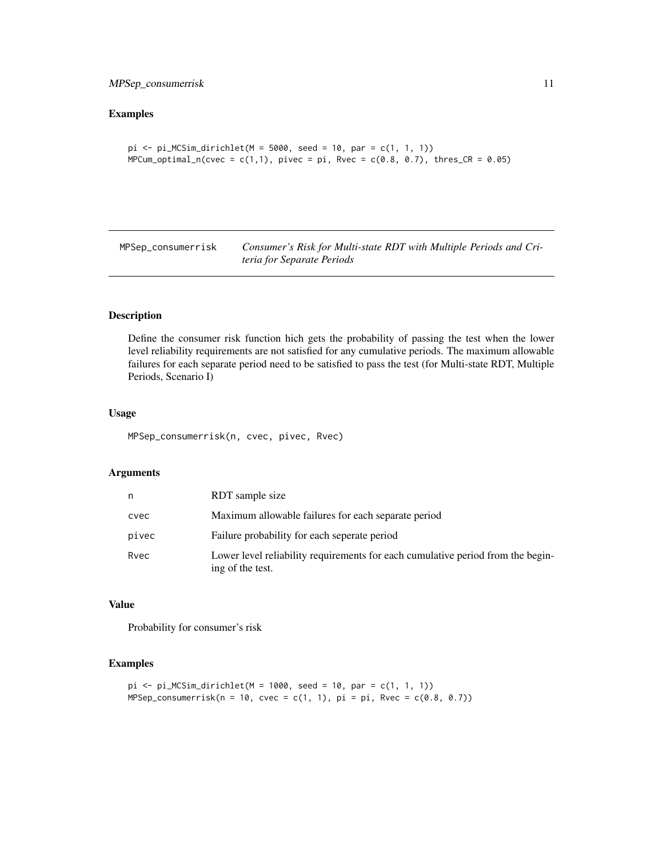#### <span id="page-10-0"></span>Examples

```
pi \leq -pi_MCSim\_dirichlet(M = 5000, seed = 10, par = c(1, 1, 1))MPCum\_optimal_n(cvec = c(1,1), piece = pi, Rvec = c(0.8, 0.7), thres_CR = 0.05)
```
MPSep\_consumerrisk *Consumer's Risk for Multi-state RDT with Multiple Periods and Criteria for Separate Periods*

#### Description

Define the consumer risk function hich gets the probability of passing the test when the lower level reliability requirements are not satisfied for any cumulative periods. The maximum allowable failures for each separate period need to be satisfied to pass the test (for Multi-state RDT, Multiple Periods, Scenario I)

#### Usage

MPSep\_consumerrisk(n, cvec, pivec, Rvec)

#### Arguments

| n     | RDT sample size                                                                                     |
|-------|-----------------------------------------------------------------------------------------------------|
| cvec  | Maximum allowable failures for each separate period                                                 |
| pivec | Failure probability for each seperate period                                                        |
| Rvec  | Lower level reliability requirements for each cumulative period from the begin-<br>ing of the test. |

#### Value

Probability for consumer's risk

```
pi < -pi_MCSim_dirichlet(M = 1000, seed = 10, par = c(1, 1, 1))
MPSep\_consumerrisk(n = 10, cvec = c(1, 1), pi = pi, Rvec = c(0.8, 0.7))
```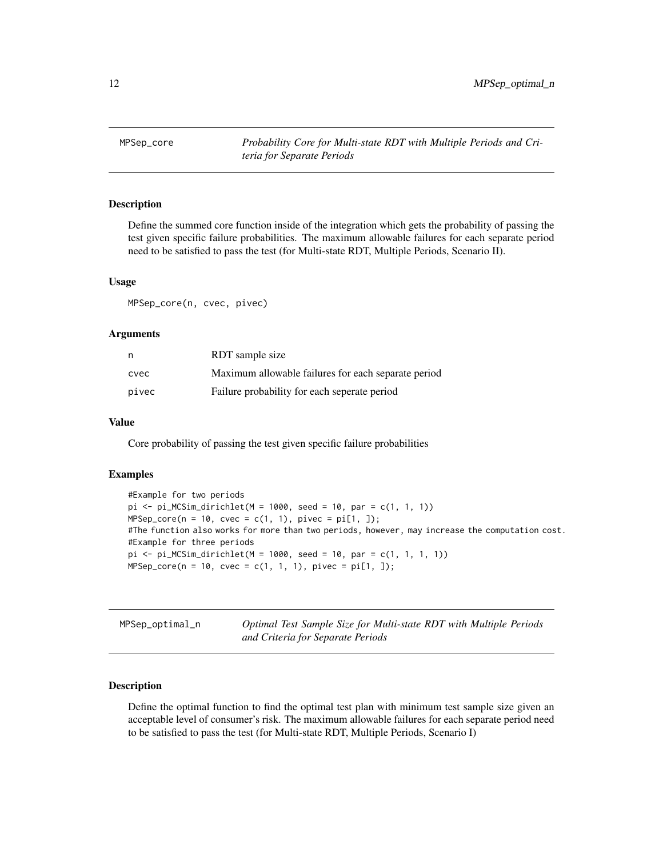<span id="page-11-0"></span>

Define the summed core function inside of the integration which gets the probability of passing the test given specific failure probabilities. The maximum allowable failures for each separate period need to be satisfied to pass the test (for Multi-state RDT, Multiple Periods, Scenario II).

#### Usage

MPSep\_core(n, cvec, pivec)

#### Arguments

| n     | RDT sample size                                     |
|-------|-----------------------------------------------------|
| cvec  | Maximum allowable failures for each separate period |
| pivec | Failure probability for each seperate period        |

#### Value

Core probability of passing the test given specific failure probabilities

#### Examples

```
#Example for two periods
pi \leq -pi_MCSim\_dirichlet(M = 1000, seed = 10, par = c(1, 1, 1))MPSep\_core(n = 10, cvec = c(1, 1), pivec = pi[1, 1);#The function also works for more than two periods, however, may increase the computation cost.
#Example for three periods
pi <- pi_MCSim_dirichlet(M = 1000, seed = 10, par = c(1, 1, 1, 1))
MPSep\_core(n = 10, cvec = c(1, 1, 1), piece = pi[1, 1);
```
MPSep\_optimal\_n *Optimal Test Sample Size for Multi-state RDT with Multiple Periods and Criteria for Separate Periods*

#### **Description**

Define the optimal function to find the optimal test plan with minimum test sample size given an acceptable level of consumer's risk. The maximum allowable failures for each separate period need to be satisfied to pass the test (for Multi-state RDT, Multiple Periods, Scenario I)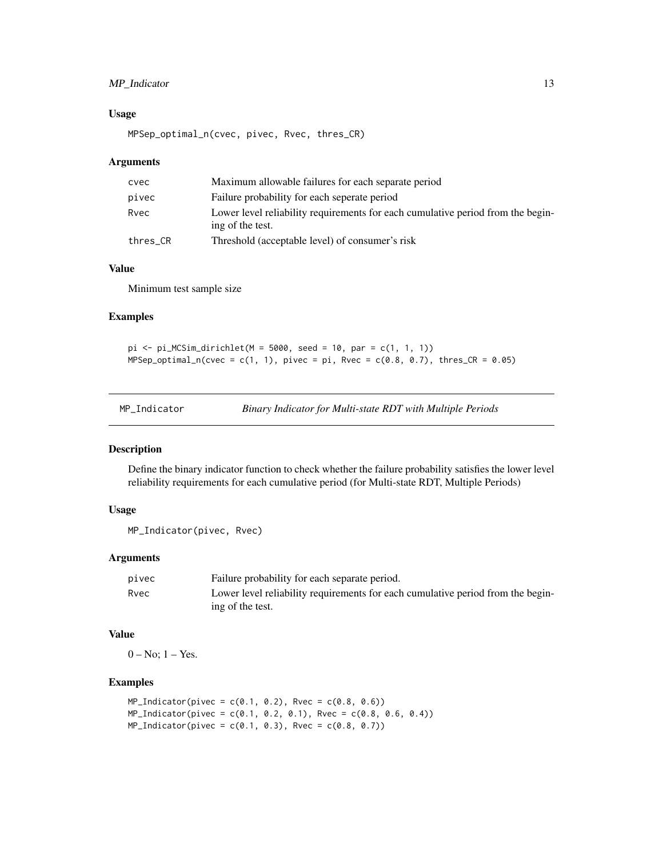#### <span id="page-12-0"></span>MP\_Indicator 13

#### Usage

MPSep\_optimal\_n(cvec, pivec, Rvec, thres\_CR)

#### Arguments

| cvec     | Maximum allowable failures for each separate period                                                 |
|----------|-----------------------------------------------------------------------------------------------------|
| pivec    | Failure probability for each seperate period                                                        |
| Rvec     | Lower level reliability requirements for each cumulative period from the begin-<br>ing of the test. |
| thres_CR | Threshold (acceptable level) of consumer's risk                                                     |

#### Value

Minimum test sample size

#### Examples

```
pi < -pi_MCSim_dirichlet(M = 5000, seed = 10, par = c(1, 1, 1))
MPSep\_optimal_n(cvec = c(1, 1), piece = pi, Proc = c(0.8, 0.7), thres_C = 0.05)
```

| MP Indicator | Binary Indicator for Multi-state RDT with Multiple Periods |  |
|--------------|------------------------------------------------------------|--|
|--------------|------------------------------------------------------------|--|

#### Description

Define the binary indicator function to check whether the failure probability satisfies the lower level reliability requirements for each cumulative period (for Multi-state RDT, Multiple Periods)

#### Usage

MP\_Indicator(pivec, Rvec)

#### Arguments

| pivec | Failure probability for each separate period.                                   |
|-------|---------------------------------------------------------------------------------|
| Rvec  | Lower level reliability requirements for each cumulative period from the begin- |
|       | ing of the test.                                                                |

#### Value

 $0 - No$ ;  $1 - Yes$ .

```
MP\_Indication(pivec = c(0.1, 0.2), Rvec = c(0.8, 0.6))MP_Indicator(pivec = c(0.1, 0.2, 0.1), Rvec = c(0.8, 0.6, 0.4))
MP\_Indication(pivec = c(0.1, 0.3), Rvec = c(0.8, 0.7))
```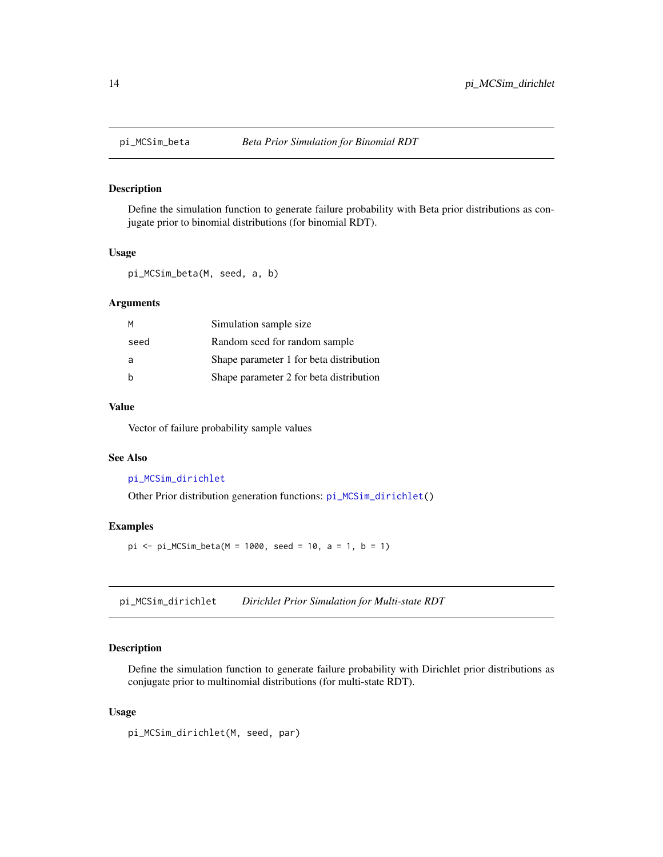<span id="page-13-2"></span><span id="page-13-0"></span>

Define the simulation function to generate failure probability with Beta prior distributions as conjugate prior to binomial distributions (for binomial RDT).

#### Usage

pi\_MCSim\_beta(M, seed, a, b)

#### Arguments

| M    | Simulation sample size                  |
|------|-----------------------------------------|
| seed | Random seed for random sample           |
| a    | Shape parameter 1 for beta distribution |
| h    | Shape parameter 2 for beta distribution |

#### Value

Vector of failure probability sample values

#### See Also

#### [pi\\_MCSim\\_dirichlet](#page-13-1)

Other Prior distribution generation functions: [pi\\_MCSim\\_dirichlet\(](#page-13-1))

#### Examples

 $pi \leq -pi_MCSim_beta(M = 1000, seed = 10, a = 1, b = 1)$ 

<span id="page-13-1"></span>pi\_MCSim\_dirichlet *Dirichlet Prior Simulation for Multi-state RDT*

#### Description

Define the simulation function to generate failure probability with Dirichlet prior distributions as conjugate prior to multinomial distributions (for multi-state RDT).

#### Usage

```
pi_MCSim_dirichlet(M, seed, par)
```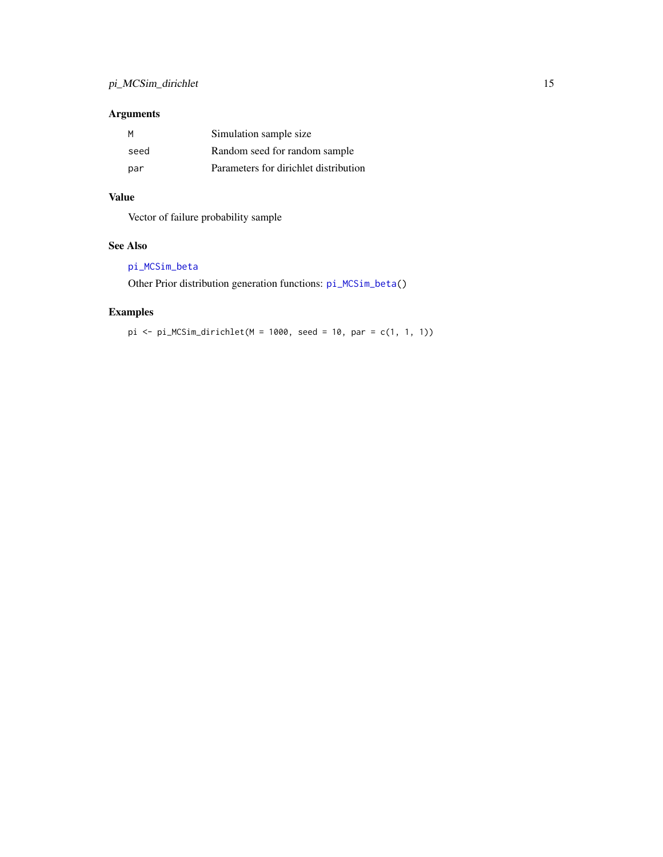#### <span id="page-14-0"></span>Arguments

| M    | Simulation sample size                |
|------|---------------------------------------|
| seed | Random seed for random sample         |
| par  | Parameters for dirichlet distribution |

### Value

Vector of failure probability sample

#### See Also

#### [pi\\_MCSim\\_beta](#page-13-2)

Other Prior distribution generation functions: [pi\\_MCSim\\_beta\(](#page-13-2))

#### Examples

pi <- pi\_MCSim\_dirichlet(M = 1000, seed = 10, par = c(1, 1, 1))